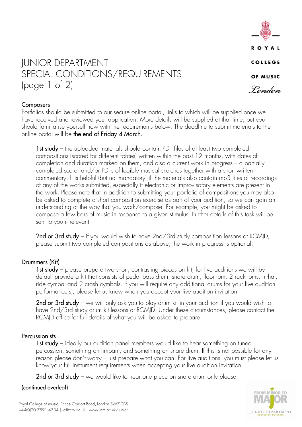

# JUNIOR DEPARTMENT SPECIAL CONDITIONS/REQUIREMENTS (page 1 of 2)

### **Composers**

Portfolios should be submitted to our secure online portal, links to which will be supplied once we have received and reviewed your application. More details will be supplied at that time, but you should familiarise yourself now with the requirements below. The deadline to submit materials to the online portal will be the end of Friday 4 March.

1st study – the uploaded materials should contain PDF files of at least two completed compositions (scored for different forces) written within the past 12 months, with dates of completion and duration marked on them, and also a current work in progress – a partially completed score, and/or PDFs of legible musical sketches together with a short written commentary. It is helpful (but not mandatory) if the materials also contain mp3 files of recordings of any of the works submitted, especially if electronic or improvisatory elements are present in the work. Please note that in addition to submitting your portfolio of compositions you may also be asked to complete a short composition exercise as part of your audition, so we can gain an understanding of the way that you work/compose. For example, you might be asked to compose a few bars of music in response to a given stimulus. Further details of this task will be sent to you if relevant.

2nd or 3rd study – if you would wish to have  $2nd/3rd$  study composition lessons at RCMJD, please submit two completed compositions as above; the work in progress is optional.

### Drummers (Kit)

1st study – please prepare two short, contrasting pieces on kit; for live auditions we will by default provide a kit that consists of pedal bass drum, snare drum, floor tom, 2 rack toms, hi-hat, ride cymbal and 2 crash cymbals. If you will require any additional drums for your live audition performance(s), please let us know when you accept your live audition invitation.

2nd or 3rd study – we will only ask you to play drum kit in your audition if you would wish to have 2nd/3rd study drum kit lessons at RCMJD. Under these circumstances, please contact the RCMJD office for full details of what you will be asked to prepare.

### **Percussionists**

1st study – ideally our audition panel members would like to hear something on tuned percussion, something on timpani, and something on snare drum. If this is not possible for any reason please don't worry – just prepare what you can. For live auditions, you must please let us know your full instrument requirements when accepting your live audition invitation.

2nd or 3rd study – we would like to hear one piece on snare drum only please.

### (continued overleaf)